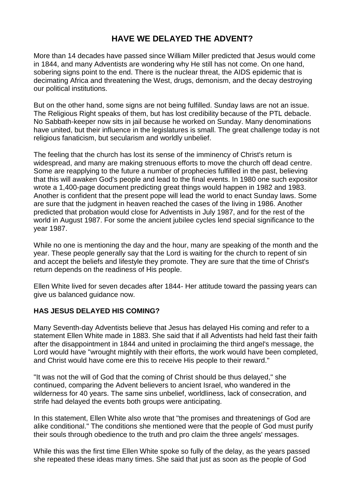# **HAVE WE DELAYED THE ADVENT?**

More than 14 decades have passed since William Miller predicted that Jesus would come in 1844, and many Adventists are wondering why He still has not come. On one hand, sobering signs point to the end. There is the nuclear threat, the AIDS epidemic that is decimating Africa and threatening the West, drugs, demonism, and the decay destroying our political institutions.

But on the other hand, some signs are not being fulfilled. Sunday laws are not an issue. The Religious Right speaks of them, but has lost credibility because of the PTL debacle. No Sabbath-keeper now sits in jail because he worked on Sunday. Many denominations have united, but their influence in the legislatures is small. The great challenge today is not religious fanaticism, but secularism and worldly unbelief.

The feeling that the church has lost its sense of the imminency of Christ's return is widespread, and many are making strenuous efforts to move the church off dead centre. Some are reapplying to the future a number of prophecies fulfilled in the past, believing that this will awaken God's people and lead to the final events. In 1980 one such expositor wrote a 1,400-page document predicting great things would happen in 1982 and 1983. Another is confident that the present pope will lead the world to enact Sunday laws. Some are sure that the judgment in heaven reached the cases of the living in 1986. Another predicted that probation would close for Adventists in July 1987, and for the rest of the world in August 1987. For some the ancient jubilee cycles lend special significance to the year 1987.

While no one is mentioning the day and the hour, many are speaking of the month and the year. These people generally say that the Lord is waiting for the church to repent of sin and accept the beliefs and lifestyle they promote. They are sure that the time of Christ's return depends on the readiness of His people.

Ellen White lived for seven decades after 1844- Her attitude toward the passing years can give us balanced guidance now.

## **HAS JESUS DELAYED HIS COMING?**

Many Seventh-day Adventists believe that Jesus has delayed His coming and refer to a statement Ellen White made in 1883. She said that if all Adventists had held fast their faith after the disappointment in 1844 and united in proclaiming the third angel's message, the Lord would have "wrought mightily with their efforts, the work would have been completed, and Christ would have come ere this to receive His people to their reward."

"It was not the will of God that the coming of Christ should be thus delayed," she continued, comparing the Advent believers to ancient Israel, who wandered in the wilderness for 40 years. The same sins unbelief, worldliness, lack of consecration, and strife had delayed the events both groups were anticipating.

In this statement, Ellen White also wrote that "the promises and threatenings of God are alike conditional." The conditions she mentioned were that the people of God must purify their souls through obedience to the truth and pro claim the three angels' messages.

While this was the first time Ellen White spoke so fully of the delay, as the years passed she repeated these ideas many times. She said that just as soon as the people of God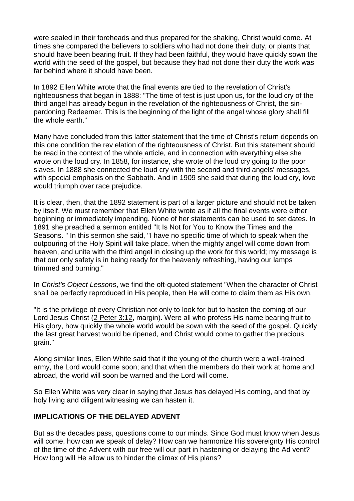were sealed in their foreheads and thus prepared for the shaking, Christ would come. At times she compared the believers to soldiers who had not done their duty, or plants that should have been bearing fruit. If they had been faithful, they would have quickly sown the world with the seed of the gospel, but because they had not done their duty the work was far behind where it should have been.

In 1892 Ellen White wrote that the final events are tied to the revelation of Christ's righteousness that began in 1888: "The time of test is just upon us, for the loud cry of the third angel has already begun in the revelation of the righteousness of Christ, the sinpardoning Redeemer. This is the beginning of the light of the angel whose glory shall fill the whole earth."

Many have concluded from this latter statement that the time of Christ's return depends on this one condition the rev elation of the righteousness of Christ. But this statement should be read in the context of the whole article, and in connection with everything else she wrote on the loud cry. In 1858, for instance, she wrote of the loud cry going to the poor slaves. In 1888 she connected the loud cry with the second and third angels' messages, with special emphasis on the Sabbath. And in 1909 she said that during the loud cry, love would triumph over race prejudice.

It is clear, then, that the 1892 statement is part of a larger picture and should not be taken by itself. We must remember that Ellen White wrote as if all the final events were either beginning or immediately impending. None of her statements can be used to set dates. In 1891 she preached a sermon entitled "It Is Not for You to Know the Times and the Seasons. " In this sermon she said, "I have no specific time of which to speak when the outpouring of the Holy Spirit will take place, when the mighty angel will come down from heaven, and unite with the third angel in closing up the work for this world; my message is that our only safety is in being ready for the heavenly refreshing, having our lamps trimmed and burning."

In *Christ's Object Lessons*, we find the oft-quoted statement "When the character of Christ shall be perfectly reproduced in His people, then He will come to claim them as His own.

"It is the privilege of every Christian not only to look for but to hasten the coming of our Lord Jesus Christ (2 [Peter](https://biblia.com/bible/esv/2%20Pet%203.12) 3:12, margin). Were all who profess His name bearing fruit to His glory, how quickly the whole world would be sown with the seed of the gospel. Quickly the last great harvest would be ripened, and Christ would come to gather the precious grain."

Along similar lines, Ellen White said that if the young of the church were a well-trained army, the Lord would come soon; and that when the members do their work at home and abroad, the world will soon be warned and the Lord will come.

So Ellen White was very clear in saying that Jesus has delayed His coming, and that by holy living and diligent witnessing we can hasten it.

#### **IMPLICATIONS OF THE DELAYED ADVENT**

But as the decades pass, questions come to our minds. Since God must know when Jesus will come, how can we speak of delay? How can we harmonize His sovereignty His control of the time of the Advent with our free will our part in hastening or delaying the Ad vent? How long will He allow us to hinder the climax of His plans?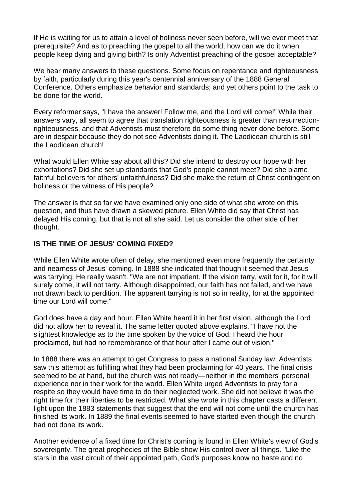If He is waiting for us to attain a level of holiness never seen before, will we ever meet that prerequisite? And as to preaching the gospel to all the world, how can we do it when people keep dying and giving birth? Is only Adventist preaching of the gospel acceptable?

We hear many answers to these questions. Some focus on repentance and righteousness by faith, particularly during this year's centennial anniversary of the 1888 General Conference. Others emphasize behavior and standards; and yet others point to the task to be done for the world.

Every reformer says, "I have the answer! Follow me, and the Lord will come!" While their answers vary, all seem to agree that translation righteousness is greater than resurrectionrighteousness, and that Adventists must therefore do some thing never done before. Some are in despair because they do not see Adventists doing it. The Laodicean church is still the Laodicean church!

What would Ellen White say about all this? Did she intend to destroy our hope with her exhortations? Did she set up standards that God's people cannot meet? Did she blame faithful believers for others' unfaithfulness? Did she make the return of Christ contingent on holiness or the witness of His people?

The answer is that so far we have examined only one side of what she wrote on this question, and thus have drawn a skewed picture. Ellen White did say that Christ has delayed His coming, but that is not all she said. Let us consider the other side of her thought.

### **IS THE TIME OF JESUS' COMING FIXED?**

While Ellen White wrote often of delay, she mentioned even more frequently the certainty and nearness of Jesus' coming. In 1888 she indicated that though it seemed that Jesus was tarrying, He really wasn't. "We are not impatient. If the vision tarry, wait for it, for it will surely come, it will not tarry. Although disappointed, our faith has not failed, and we have not drawn back to perdition. The apparent tarrying is not so in reality, for at the appointed time our Lord will come."

God does have a day and hour. Ellen White heard it in her first vision, although the Lord did not allow her to reveal it. The same letter quoted above explains, "I have not the slightest knowledge as to the time spoken by the voice of God. I heard the hour proclaimed, but had no remembrance of that hour after I came out of vision."

In 1888 there was an attempt to get Congress to pass a national Sunday law. Adventists saw this attempt as fulfilling what they had been proclaiming for 40 years. The final crisis seemed to be at hand, but the church was not ready—neither in the members' personal experience nor in their work for the world. Ellen White urged Adventists to pray for a respite so they would have time to do their neglected work. She did not believe it was the right time for their liberties to be restricted. What she wrote in this chapter casts a different light upon the 1883 statements that suggest that the end will not come until the church has finished its work. In 1889 the final events seemed to have started even though the church had not done its work.

Another evidence of a fixed time for Christ's coming is found in Ellen White's view of God's sovereignty. The great prophecies of the Bible show His control over all things. "Like the stars in the vast circuit of their appointed path, God's purposes know no haste and no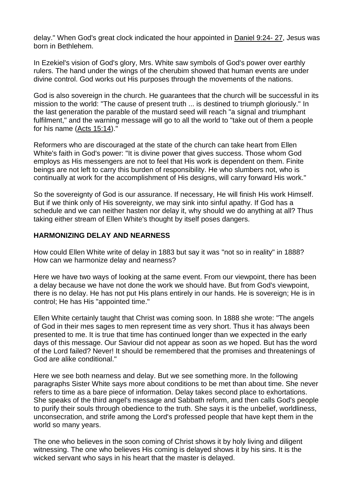delay." When God's great clock indicated the hour appointed in [Daniel](https://biblia.com/bible/esv/Dan%209.24-%2027) 9:24- 27, Jesus was born in Bethlehem.

In Ezekiel's vision of God's glory, Mrs. White saw symbols of God's power over earthly rulers. The hand under the wings of the cherubim showed that human events are under divine control. God works out His purposes through the movements of the nations.

God is also sovereign in the church. He guarantees that the church will be successful in its mission to the world: "The cause of present truth ... is destined to triumph gloriously." In the last generation the parable of the mustard seed will reach "a signal and triumphant fulfilment," and the warning message will go to all the world to "take out of them a people for his name (Acts [15:14\)](https://biblia.com/bible/esv/Acts%2015.14)."

Reformers who are discouraged at the state of the church can take heart from Ellen White's faith in God's power: "It is divine power that gives success. Those whom God employs as His messengers are not to feel that His work is dependent on them. Finite beings are not left to carry this burden of responsibility. He who slumbers not, who is continually at work for the accomplishment of His designs, will carry forward His work."

So the sovereignty of God is our assurance. If necessary, He will finish His work Himself. But if we think only of His sovereignty, we may sink into sinful apathy. If God has a schedule and we can neither hasten nor delay it, why should we do anything at all? Thus taking either stream of Ellen White's thought by itself poses dangers.

### **HARMONIZING DELAY AND NEARNESS**

How could Ellen White write of delay in 1883 but say it was "not so in reality" in 1888? How can we harmonize delay and nearness?

Here we have two ways of looking at the same event. From our viewpoint, there has been a delay because we have not done the work we should have. But from God's viewpoint, there is no delay. He has not put His plans entirely in our hands. He is sovereign; He is in control; He has His "appointed time."

Ellen White certainly taught that Christ was coming soon. In 1888 she wrote: "The angels of God in their mes sages to men represent time as very short. Thus it has always been presented to me. It is true that time has continued longer than we expected in the early days of this message. Our Saviour did not appear as soon as we hoped. But has the word of the Lord failed? Never! It should be remembered that the promises and threatenings of God are alike conditional."

Here we see both nearness and delay. But we see something more. In the following paragraphs Sister White says more about conditions to be met than about time. She never refers to time as a bare piece of information. Delay takes second place to exhortations. She speaks of the third angel's message and Sabbath reform, and then calls God's people to purify their souls through obedience to the truth. She says it is the unbelief, worldliness, unconsecration, and strife among the Lord's professed people that have kept them in the world so many years.

The one who believes in the soon coming of Christ shows it by holy living and diligent witnessing. The one who believes His coming is delayed shows it by his sins. It is the wicked servant who says in his heart that the master is delayed.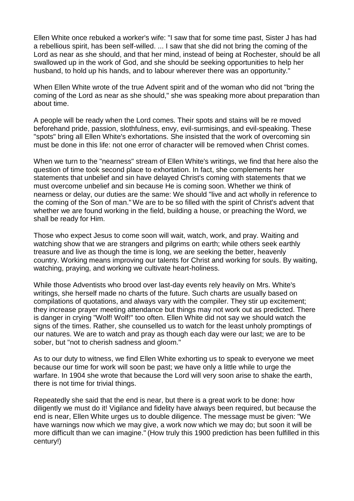Ellen White once rebuked a worker's wife: "I saw that for some time past, Sister J has had a rebellious spirit, has been self-willed. ... I saw that she did not bring the coming of the Lord as near as she should, and that her mind, instead of being at Rochester, should be all swallowed up in the work of God, and she should be seeking opportunities to help her husband, to hold up his hands, and to labour wherever there was an opportunity."

When Ellen White wrote of the true Advent spirit and of the woman who did not "bring the coming of the Lord as near as she should," she was speaking more about preparation than about time.

A people will be ready when the Lord comes. Their spots and stains will be re moved beforehand pride, passion, slothfulness, envy, evil-surmisings, and evil-speaking. These "spots" bring all Ellen White's exhortations. She insisted that the work of overcoming sin must be done in this life: not one error of character will be removed when Christ comes.

When we turn to the "nearness" stream of Ellen White's writings, we find that here also the question of time took second place to exhortation. In fact, she complements her statements that unbelief and sin have delayed Christ's coming with statements that we must overcome unbelief and sin because He is coming soon. Whether we think of nearness or delay, our duties are the same: We should "live and act wholly in reference to the coming of the Son of man." We are to be so filled with the spirit of Christ's advent that whether we are found working in the field, building a house, or preaching the Word, we shall be ready for Him.

Those who expect Jesus to come soon will wait, watch, work, and pray. Waiting and watching show that we are strangers and pilgrims on earth; while others seek earthly treasure and live as though the time is long, we are seeking the better, heavenly country. Working means improving our talents for Christ and working for souls. By waiting, watching, praying, and working we cultivate heart-holiness.

While those Adventists who brood over last-day events rely heavily on Mrs. White's writings, she herself made no charts of the future. Such charts are usually based on compilations of quotations, and always vary with the compiler. They stir up excitement; they increase prayer meeting attendance but things may not work out as predicted. There is danger in crying "Wolf! Wolf!" too often. Ellen White did not say we should watch the signs of the times. Rather, she counselled us to watch for the least unholy promptings of our natures. We are to watch and pray as though each day were our last; we are to be sober, but "not to cherish sadness and gloom."

As to our duty to witness, we find Ellen White exhorting us to speak to everyone we meet because our time for work will soon be past; we have only a little while to urge the warfare. In 1904 she wrote that because the Lord will very soon arise to shake the earth, there is not time for trivial things.

Repeatedly she said that the end is near, but there is a great work to be done: how diligently we must do it! Vigilance and fidelity have always been required, but because the end is near, Ellen White urges us to double diligence. The message must be given: "We have warnings now which we may give, a work now which we may do; but soon it will be more difficult than we can imagine." (How truly this 1900 prediction has been fulfilled in this century!)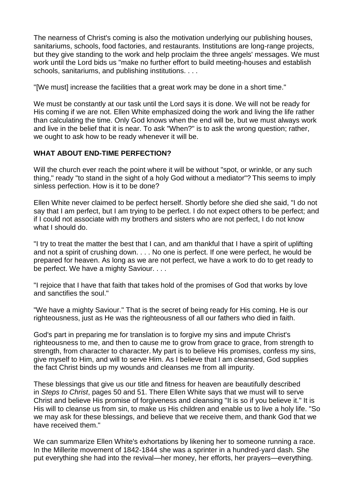The nearness of Christ's coming is also the motivation underlying our publishing houses, sanitariums, schools, food factories, and restaurants. Institutions are long-range projects, but they give standing to the work and help proclaim the three angels' messages. We must work until the Lord bids us "make no further effort to build meeting-houses and establish schools, sanitariums, and publishing institutions. . . .

"[We must] increase the facilities that a great work may be done in a short time."

We must be constantly at our task until the Lord says it is done. We will not be ready for His coming if we are not. Ellen White emphasized doing the work and living the life rather than calculating the time. Only God knows when the end will be, but we must always work and live in the belief that it is near. To ask "When?" is to ask the wrong question; rather, we ought to ask how to be ready whenever it will be.

### **WHAT ABOUT END-TIME PERFECTION?**

Will the church ever reach the point where it will be without "spot, or wrinkle, or any such thing," ready "to stand in the sight of a holy God without a mediator"? This seems to imply sinless perfection. How is it to be done?

Ellen White never claimed to be perfect herself. Shortly before she died she said, "I do not say that I am perfect, but I am trying to be perfect. I do not expect others to be perfect; and if I could not associate with my brothers and sisters who are not perfect, I do not know what I should do.

"I try to treat the matter the best that I can, and am thankful that I have a spirit of uplifting and not a spirit of crushing down. . . . No one is perfect. If one were perfect, he would be prepared for heaven. As long as we are not perfect, we have a work to do to get ready to be perfect. We have a mighty Saviour. . . .

"I rejoice that I have that faith that takes hold of the promises of God that works by love and sanctifies the soul."

"We have a mighty Saviour." That is the secret of being ready for His coming. He is our righteousness, just as He was the righteousness of all our fathers who died in faith.

God's part in preparing me for translation is to forgive my sins and impute Christ's righteousness to me, and then to cause me to grow from grace to grace, from strength to strength, from character to character. My part is to believe His promises, confess my sins, give myself to Him, and will to serve Him. As I believe that I am cleansed, God supplies the fact Christ binds up my wounds and cleanses me from all impurity.

These blessings that give us our title and fitness for heaven are beautifully described in *Steps to Christ*, pages 50 and 51. There Ellen White says that we must will to serve Christ and believe His promise of forgiveness and cleansing "It is so if you believe it." It is His will to cleanse us from sin, to make us His children and enable us to live a holy life. "So we may ask for these blessings, and believe that we receive them, and thank God that we have received them."

We can summarize Ellen White's exhortations by likening her to someone running a race. In the Millerite movement of 1842-1844 she was a sprinter in a hundred-yard dash. She put everything she had into the revival—her money, her efforts, her prayers—everything.